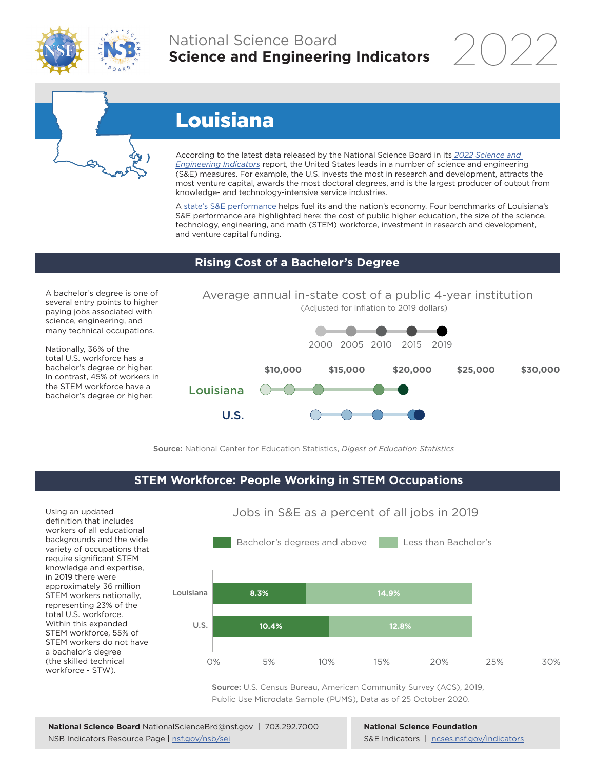

## National Science Board **Science and Engineering Indicators**

2022



# Louisiana

According to the latest data released by the National Science Board in its *2022 Science and Engineering Indicators* report, the United States leads in a number of science and engineering (S&E) measures. For example, the U.S. invests the most in research and development, attracts the most venture capital, awards the most doctoral degrees, and is the largest producer of output from knowledge- and technology-intensive service industries.

A state's S&E performance helps fuel its and the nation's economy. Four benchmarks of Louisiana's S&E performance are highlighted here: the cost of public higher education, the size of the science, technology, engineering, and math (STEM) workforce, investment in research and development, and venture capital funding.

#### **Rising Cost of a Bachelor's Degree**

A bachelor's degree is one of several entry points to higher paying jobs associated with science, engineering, and many technical occupations.

Nationally, 36% of the total U.S. workforce has a bachelor's degree or higher. In contrast, 45% of workers in the STEM workforce have a bachelor's degree or higher.



Source: National Center for Education Statistics, *Digest of Education Statistics*

#### **STEM Workforce: People Working in STEM Occupations**

Using an updated definition that includes workers of all educational backgrounds and the wide variety of occupations that require significant STEM knowledge and expertise, in 2019 there were approximately 36 million STEM workers nationally, representing 23% of the total U.S. workforce. Within this expanded STEM workforce, 55% of STEM workers do not have a bachelor's degree (the skilled technical workforce - STW).



Jobs in S&E as a percent of all jobs in 2019

Source: U.S. Census Bureau, American Community Survey (ACS), 2019, Public Use Microdata Sample (PUMS), Data as of 25 October 2020.

**National Science Foundation** S&E Indicators | ncses.nsf.gov/indicators